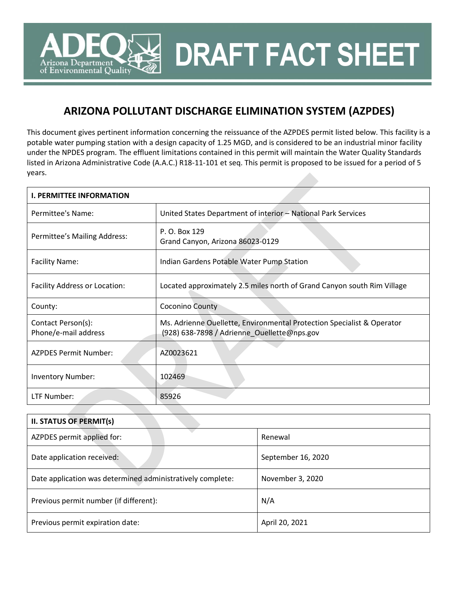**DRAFT FACT SHEET**

# **ARIZONA POLLUTANT DISCHARGE ELIMINATION SYSTEM (AZPDES)**

Arizona Department of Environmental Quality

This document gives pertinent information concerning the reissuance of the AZPDES permit listed below. This facility is a potable water pumping station with a design capacity of 1.25 MGD, and is considered to be an industrial minor facility under the NPDES program. The effluent limitations contained in this permit will maintain the Water Quality Standards listed in Arizona Administrative Code (A.A.C.) R18-11-101 et seq. This permit is proposed to be issued for a period of 5 years.

| <b>I. PERMITTEE INFORMATION</b>            |                                                                                                                       |
|--------------------------------------------|-----------------------------------------------------------------------------------------------------------------------|
| Permittee's Name:                          | United States Department of interior - National Park Services                                                         |
| Permittee's Mailing Address:               | P. O. Box 129<br>Grand Canyon, Arizona 86023-0129                                                                     |
| <b>Facility Name:</b>                      | Indian Gardens Potable Water Pump Station                                                                             |
| <b>Facility Address or Location:</b>       | Located approximately 2.5 miles north of Grand Canyon south Rim Village                                               |
| County:                                    | Coconino County                                                                                                       |
| Contact Person(s):<br>Phone/e-mail address | Ms. Adrienne Ouellette, Environmental Protection Specialist & Operator<br>(928) 638-7898 / Adrienne_Ouellette@nps.gov |
| <b>AZPDES Permit Number:</b>               | AZ0023621                                                                                                             |
| <b>Inventory Number:</b>                   | 102469                                                                                                                |
| LTF Number:                                | 85926                                                                                                                 |

| <b>II. STATUS OF PERMIT(s)</b>                             |                    |  |  |  |  |  |
|------------------------------------------------------------|--------------------|--|--|--|--|--|
| AZPDES permit applied for:                                 | Renewal            |  |  |  |  |  |
| Date application received:                                 | September 16, 2020 |  |  |  |  |  |
| Date application was determined administratively complete: | November 3, 2020   |  |  |  |  |  |
| Previous permit number (if different):                     | N/A                |  |  |  |  |  |
| Previous permit expiration date:                           | April 20, 2021     |  |  |  |  |  |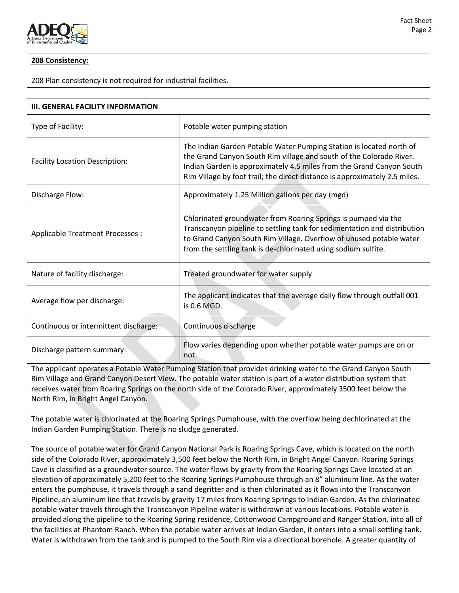

# **208 Consistency:**

208 Plan consistency is not required for industrial facilities.

| <b>III. GENERAL FACILITY INFORMATION</b> |                                                                                                                                                                                                                                                                                                  |  |  |  |  |  |
|------------------------------------------|--------------------------------------------------------------------------------------------------------------------------------------------------------------------------------------------------------------------------------------------------------------------------------------------------|--|--|--|--|--|
| Type of Facility:                        | Potable water pumping station                                                                                                                                                                                                                                                                    |  |  |  |  |  |
| <b>Facility Location Description:</b>    | The Indian Garden Potable Water Pumping Station is located north of<br>the Grand Canyon South Rim village and south of the Colorado River.<br>Indian Garden is approximately 4.5 miles from the Grand Canyon South<br>Rim Village by foot trail; the direct distance is approximately 2.5 miles. |  |  |  |  |  |
| Discharge Flow:                          | Approximately 1.25 Million gallons per day (mgd)                                                                                                                                                                                                                                                 |  |  |  |  |  |
| Applicable Treatment Processes :         | Chlorinated groundwater from Roaring Springs is pumped via the<br>Transcanyon pipeline to settling tank for sedimentation and distribution<br>to Grand Canyon South Rim Village. Overflow of unused potable water<br>from the settling tank is de-chlorinated using sodium sulfite.              |  |  |  |  |  |
| Nature of facility discharge:            | Treated groundwater for water supply                                                                                                                                                                                                                                                             |  |  |  |  |  |
| Average flow per discharge:              | The applicant indicates that the average daily flow through outfall 001<br>is 0.6 MGD.                                                                                                                                                                                                           |  |  |  |  |  |
| Continuous or intermittent discharge:    | Continuous discharge                                                                                                                                                                                                                                                                             |  |  |  |  |  |
| Discharge pattern summary:               | Flow varies depending upon whether potable water pumps are on or<br>not.                                                                                                                                                                                                                         |  |  |  |  |  |

The applicant operates a Potable Water Pumping Station that provides drinking water to the Grand Canyon South Rim Village and Grand Canyon Desert View. The potable water station is part of a water distribution system that receives water from Roaring Springs on the north side of the Colorado River, approximately 3500 feet below the North Rim, in Bright Angel Canyon.

The potable water is chlorinated at the Roaring Springs Pumphouse, with the overflow being dechlorinated at the Indian Garden Pumping Station. There is no sludge generated.

The source of potable water for Grand Canyon National Park is Roaring Springs Cave, which is located on the north side of the Colorado River, approximately 3,500 feet below the North Rim, in Bright Angel Canyon. Roaring Springs Cave is classified as a groundwater source. The water flows by gravity from the Roaring Springs Cave located at an elevation of approximately 5,200 feet to the Roaring Springs Pumphouse through an 8" aluminum line. As the water enters the pumphouse, it travels through a sand degritter and is then chlorinated as it flows into the Transcanyon Pipeline, an aluminum line that travels by gravity 17 miles from Roaring Springs to Indian Garden. As the chlorinated potable water travels through the Transcanyon Pipeline water is withdrawn at various locations. Potable water is provided along the pipeline to the Roaring Spring residence, Cottonwood Campground and Ranger Station, into all of the facilities at Phantom Ranch. When the potable water arrives at Indian Garden, it enters into a small settling tank. Water is withdrawn from the tank and is pumped to the South Rim via a directional borehole. A greater quantity of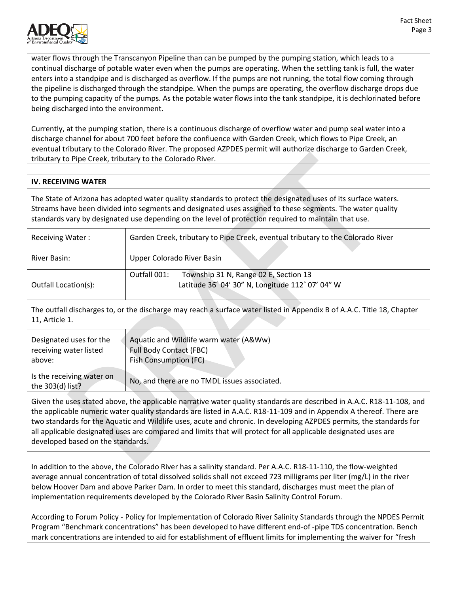

water flows through the Transcanyon Pipeline than can be pumped by the pumping station, which leads to a continual discharge of potable water even when the pumps are operating. When the settling tank is full, the water enters into a standpipe and is discharged as overflow. If the pumps are not running, the total flow coming through the pipeline is discharged through the standpipe. When the pumps are operating, the overflow discharge drops due to the pumping capacity of the pumps. As the potable water flows into the tank standpipe, it is dechlorinated before being discharged into the environment.

Currently, at the pumping station, there is a continuous discharge of overflow water and pump seal water into a discharge channel for about 700 feet before the confluence with Garden Creek, which flows to Pipe Creek, an eventual tributary to the Colorado River. The proposed AZPDES permit will authorize discharge to Garden Creek, tributary to Pipe Creek, tributary to the Colorado River.

# **IV. RECEIVING WATER**

The State of Arizona has adopted water quality standards to protect the designated uses of its surface waters. Streams have been divided into segments and designated uses assigned to these segments. The water quality standards vary by designated use depending on the level of protection required to maintain that use.

| Receiving Water:     | Garden Creek, tributary to Pipe Creek, eventual tributary to the Colorado River                           |  |  |  |  |  |
|----------------------|-----------------------------------------------------------------------------------------------------------|--|--|--|--|--|
| River Basin:         | Upper Colorado River Basin                                                                                |  |  |  |  |  |
| Outfall Location(s): | Township 31 N, Range 02 E, Section 13<br>Outfall 001:<br>Latitude 36° 04' 30" N, Longitude 112° 07' 04" W |  |  |  |  |  |

The outfall discharges to, or the discharge may reach a surface water listed in Appendix B of A.A.C. Title 18, Chapter 11, Article 1.

| Designated uses for the                       | Aquatic and Wildlife warm water (A&Ww)       |
|-----------------------------------------------|----------------------------------------------|
| receiving water listed                        | <b>Full Body Contact (FBC)</b>               |
| above:                                        | <b>Fish Consumption (FC)</b>                 |
| Is the receiving water on<br>the 303(d) list? | No, and there are no TMDL issues associated. |

Given the uses stated above, the applicable narrative water quality standards are described in A.A.C. R18-11-108, and the applicable numeric water quality standards are listed in A.A.C. R18-11-109 and in Appendix A thereof. There are two standards for the Aquatic and Wildlife uses, acute and chronic. In developing AZPDES permits, the standards for all applicable designated uses are compared and limits that will protect for all applicable designated uses are developed based on the standards.

In addition to the above, the Colorado River has a salinity standard. Per A.A.C. R18-11-110, the flow-weighted average annual concentration of total dissolved solids shall not exceed 723 milligrams per liter (mg/L) in the river below Hoover Dam and above Parker Dam. In order to meet this standard, discharges must meet the plan of implementation requirements developed by the Colorado River Basin Salinity Control Forum.

According to Forum Policy - Policy for Implementation of Colorado River Salinity Standards through the NPDES Permit Program "Benchmark concentrations" has been developed to have different end-of -pipe TDS concentration. Bench mark concentrations are intended to aid for establishment of effluent limits for implementing the waiver for "fresh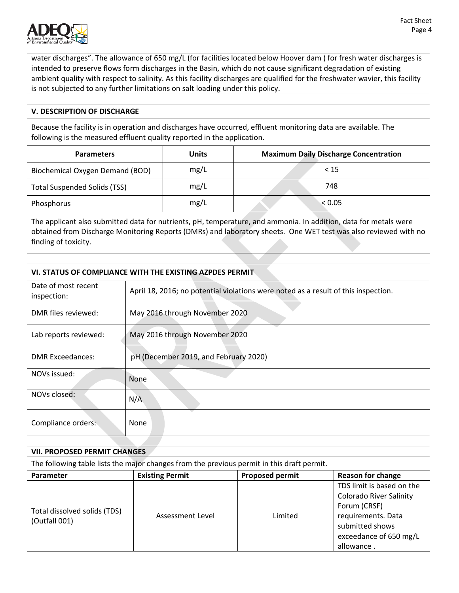

water discharges". The allowance of 650 mg/L (for facilities located below Hoover dam ) for fresh water discharges is intended to preserve flows form discharges in the Basin, which do not cause significant degradation of existing ambient quality with respect to salinity. As this facility discharges are qualified for the freshwater wavier, this facility is not subjected to any further limitations on salt loading under this policy.

# **V. DESCRIPTION OF DISCHARGE**

Because the facility is in operation and discharges have occurred, effluent monitoring data are available. The following is the measured effluent quality reported in the application.

| <b>Parameters</b>                      | Units | <b>Maximum Daily Discharge Concentration</b> |
|----------------------------------------|-------|----------------------------------------------|
| <b>Biochemical Oxygen Demand (BOD)</b> | mg/L  | < 15                                         |
| <b>Total Suspended Solids (TSS)</b>    | mg/L  | 748                                          |
| Phosphorus                             | mg/L  | < 0.05                                       |

The applicant also submitted data for nutrients, pH, temperature, and ammonia. In addition, data for metals were obtained from Discharge Monitoring Reports (DMRs) and laboratory sheets. One WET test was also reviewed with no finding of toxicity.

| VI. STATUS OF COMPLIANCE WITH THE EXISTING AZPDES PERMIT |                                                                                    |  |  |  |
|----------------------------------------------------------|------------------------------------------------------------------------------------|--|--|--|
| Date of most recent<br>inspection:                       | April 18, 2016; no potential violations were noted as a result of this inspection. |  |  |  |
| DMR files reviewed:                                      | May 2016 through November 2020                                                     |  |  |  |
| Lab reports reviewed:                                    | May 2016 through November 2020                                                     |  |  |  |
| <b>DMR Exceedances:</b>                                  | pH (December 2019, and February 2020)                                              |  |  |  |
| NOVs issued:                                             | None                                                                               |  |  |  |
| NOVs closed:                                             | N/A                                                                                |  |  |  |
| Compliance orders:                                       | <b>None</b>                                                                        |  |  |  |

| <b>VII. PROPOSED PERMIT CHANGES</b>                                                        |                        |                        |                                                                                                                                                              |  |  |  |
|--------------------------------------------------------------------------------------------|------------------------|------------------------|--------------------------------------------------------------------------------------------------------------------------------------------------------------|--|--|--|
| The following table lists the major changes from the previous permit in this draft permit. |                        |                        |                                                                                                                                                              |  |  |  |
| <b>Parameter</b>                                                                           | <b>Existing Permit</b> | <b>Proposed permit</b> | <b>Reason for change</b>                                                                                                                                     |  |  |  |
| Total dissolved solids (TDS)<br>(Outfall 001)                                              | Assessment Level       | Limited                | TDS limit is based on the<br><b>Colorado River Salinity</b><br>Forum (CRSF)<br>requirements. Data<br>submitted shows<br>exceedance of 650 mg/L<br>allowance. |  |  |  |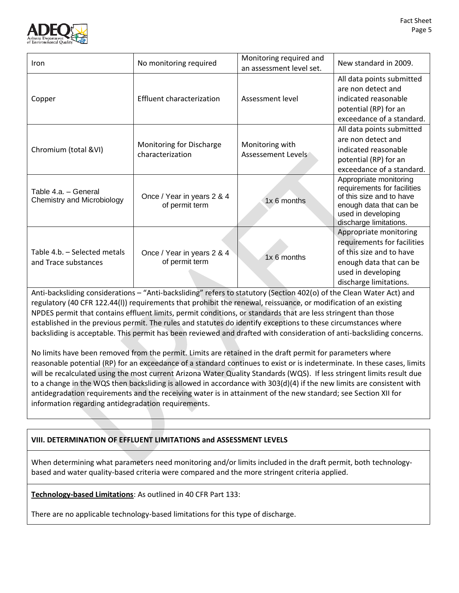

| Iron                                                 | No monitoring required                       | Monitoring required and<br>an assessment level set. | New standard in 2009.                                                                                                                                        |
|------------------------------------------------------|----------------------------------------------|-----------------------------------------------------|--------------------------------------------------------------------------------------------------------------------------------------------------------------|
| Copper                                               | <b>Effluent characterization</b>             | Assessment level                                    | All data points submitted<br>are non detect and<br>indicated reasonable<br>potential (RP) for an<br>exceedance of a standard.                                |
| Chromium (total &VI)                                 | Monitoring for Discharge<br>characterization | Monitoring with<br>Assessement Levels               | All data points submitted<br>are non detect and<br>indicated reasonable<br>potential (RP) for an<br>exceedance of a standard.                                |
| Table 4.a. - General<br>Chemistry and Microbiology   | Once / Year in years 2 & 4<br>of permit term | 1x 6 months                                         | Appropriate monitoring<br>requirements for facilities<br>of this size and to have<br>enough data that can be<br>used in developing<br>discharge limitations. |
| Table 4.b. - Selected metals<br>and Trace substances | Once / Year in years 2 & 4<br>of permit term | 1x 6 months                                         | Appropriate monitoring<br>requirements for facilities<br>of this size and to have<br>enough data that can be<br>used in developing<br>discharge limitations. |

Anti-backsliding considerations – "Anti-backsliding" refers to statutory (Section 402(o) of the Clean Water Act) and regulatory (40 CFR 122.44(l)) requirements that prohibit the renewal, reissuance, or modification of an existing NPDES permit that contains effluent limits, permit conditions, or standards that are less stringent than those established in the previous permit. The rules and statutes do identify exceptions to these circumstances where backsliding is acceptable. This permit has been reviewed and drafted with consideration of anti-backsliding concerns.

No limits have been removed from the permit. Limits are retained in the draft permit for parameters where reasonable potential (RP) for an exceedance of a standard continues to exist or is indeterminate. In these cases, limits will be recalculated using the most current Arizona Water Quality Standards (WQS). If less stringent limits result due to a change in the WQS then backsliding is allowed in accordance with 303(d)(4) if the new limits are consistent with antidegradation requirements and the receiving water is in attainment of the new standard; see Section XII for information regarding antidegradation requirements.

# **VIII. DETERMINATION OF EFFLUENT LIMITATIONS and ASSESSMENT LEVELS**

When determining what parameters need monitoring and/or limits included in the draft permit, both technologybased and water quality-based criteria were compared and the more stringent criteria applied.

**Technology-based Limitations**: As outlined in 40 CFR Part 133:

There are no applicable technology-based limitations for this type of discharge.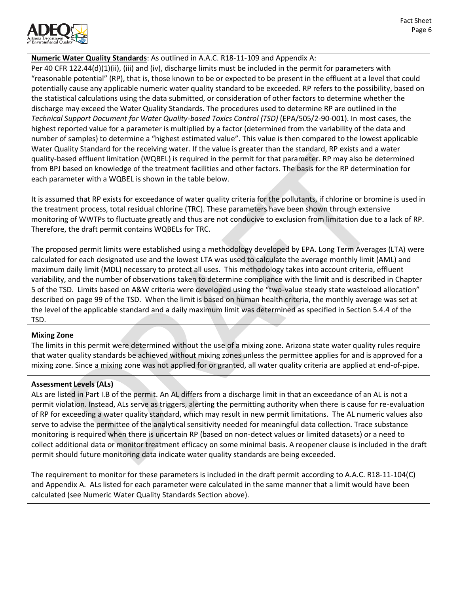

# **Numeric Water Quality Standards**: As outlined in A.A.C. R18-11-109 and Appendix A:

Per 40 CFR 122.44(d)(1)(ii), (iii) and (iv), discharge limits must be included in the permit for parameters with "reasonable potential" (RP), that is, those known to be or expected to be present in the effluent at a level that could potentially cause any applicable numeric water quality standard to be exceeded. RP refers to the possibility, based on the statistical calculations using the data submitted, or consideration of other factors to determine whether the discharge may exceed the Water Quality Standards. The procedures used to determine RP are outlined in the *Technical Support Document for Water Quality-based Toxics Control (TSD)* (EPA/505/2-90-001). In most cases, the highest reported value for a parameter is multiplied by a factor (determined from the variability of the data and number of samples) to determine a "highest estimated value". This value is then compared to the lowest applicable Water Quality Standard for the receiving water. If the value is greater than the standard, RP exists and a water quality-based effluent limitation (WQBEL) is required in the permit for that parameter. RP may also be determined from BPJ based on knowledge of the treatment facilities and other factors. The basis for the RP determination for each parameter with a WQBEL is shown in the table below.

It is assumed that RP exists for exceedance of water quality criteria for the pollutants, if chlorine or bromine is used in the treatment process, total residual chlorine (TRC). These parameters have been shown through extensive monitoring of WWTPs to fluctuate greatly and thus are not conducive to exclusion from limitation due to a lack of RP. Therefore, the draft permit contains WQBELs for TRC.

The proposed permit limits were established using a methodology developed by EPA. Long Term Averages (LTA) were calculated for each designated use and the lowest LTA was used to calculate the average monthly limit (AML) and maximum daily limit (MDL) necessary to protect all uses. This methodology takes into account criteria, effluent variability, and the number of observations taken to determine compliance with the limit and is described in Chapter 5 of the TSD. Limits based on A&W criteria were developed using the "two-value steady state wasteload allocation" described on page 99 of the TSD. When the limit is based on human health criteria, the monthly average was set at the level of the applicable standard and a daily maximum limit was determined as specified in Section 5.4.4 of the TSD.

# **Mixing Zone**

The limits in this permit were determined without the use of a mixing zone. Arizona state water quality rules require that water quality standards be achieved without mixing zones unless the permittee applies for and is approved for a mixing zone. Since a mixing zone was not applied for or granted, all water quality criteria are applied at end-of-pipe.

# **Assessment Levels (ALs)**

ALs are listed in Part I.B of the permit. An AL differs from a discharge limit in that an exceedance of an AL is not a permit violation. Instead, ALs serve as triggers, alerting the permitting authority when there is cause for re-evaluation of RP for exceeding a water quality standard, which may result in new permit limitations. The AL numeric values also serve to advise the permittee of the analytical sensitivity needed for meaningful data collection. Trace substance monitoring is required when there is uncertain RP (based on non-detect values or limited datasets) or a need to collect additional data or monitor treatment efficacy on some minimal basis. A reopener clause is included in the draft permit should future monitoring data indicate water quality standards are being exceeded.

The requirement to monitor for these parameters is included in the draft permit according to A.A.C. R18-11-104(C) and Appendix A. ALs listed for each parameter were calculated in the same manner that a limit would have been calculated (see Numeric Water Quality Standards Section above).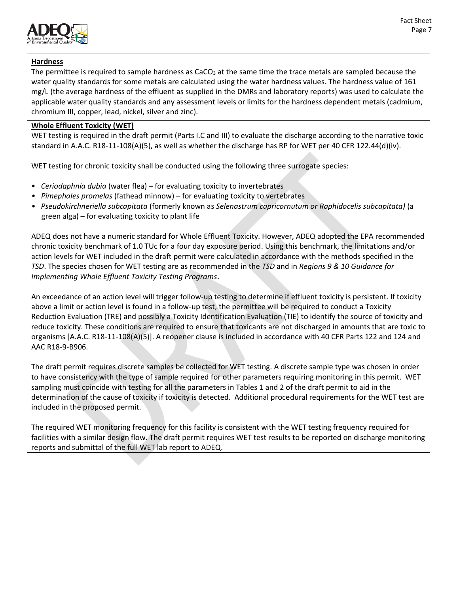

# **Hardness**

The permittee is required to sample hardness as  $CaCO<sub>3</sub>$  at the same time the trace metals are sampled because the water quality standards for some metals are calculated using the water hardness values. The hardness value of 161 mg/L (the average hardness of the effluent as supplied in the DMRs and laboratory reports) was used to calculate the applicable water quality standards and any assessment levels or limits for the hardness dependent metals (cadmium, chromium III, copper, lead, nickel, silver and zinc).

# **Whole Effluent Toxicity (WET)**

WET testing is required in the draft permit (Parts I.C and III) to evaluate the discharge according to the narrative toxic standard in A.A.C. R18-11-108(A)(5), as well as whether the discharge has RP for WET per 40 CFR 122.44(d)(iv).

WET testing for chronic toxicity shall be conducted using the following three surrogate species:

- *Ceriodaphnia dubia* (water flea) for evaluating toxicity to invertebrates
- *Pimephales promelas* (fathead minnow) for evaluating toxicity to vertebrates
- *Pseudokirchneriella subcapitata* (formerly known as *Selenastrum capricornutum or Raphidocelis subcapitata)* (a green alga) – for evaluating toxicity to plant life

ADEQ does not have a numeric standard for Whole Effluent Toxicity. However, ADEQ adopted the EPA recommended chronic toxicity benchmark of 1.0 TUc for a four day exposure period. Using this benchmark, the limitations and/or action levels for WET included in the draft permit were calculated in accordance with the methods specified in the *TSD*. The species chosen for WET testing are as recommended in the *TSD* and in *Regions 9 & 10 Guidance for Implementing Whole Effluent Toxicity Testing Programs*.

An exceedance of an action level will trigger follow-up testing to determine if effluent toxicity is persistent. If toxicity above a limit or action level is found in a follow-up test, the permittee will be required to conduct a Toxicity Reduction Evaluation (TRE) and possibly a Toxicity Identification Evaluation (TIE) to identify the source of toxicity and reduce toxicity. These conditions are required to ensure that toxicants are not discharged in amounts that are toxic to organisms [A.A.C. R18-11-108(A)(5)]. A reopener clause is included in accordance with 40 CFR Parts 122 and 124 and AAC R18-9-B906.

The draft permit requires discrete samples be collected for WET testing. A discrete sample type was chosen in order to have consistency with the type of sample required for other parameters requiring monitoring in this permit. WET sampling must coincide with testing for all the parameters in Tables 1 and 2 of the draft permit to aid in the determination of the cause of toxicity if toxicity is detected. Additional procedural requirements for the WET test are included in the proposed permit.

The required WET monitoring frequency for this facility is consistent with the WET testing frequency required for facilities with a similar design flow. The draft permit requires WET test results to be reported on discharge monitoring reports and submittal of the full WET lab report to ADEQ.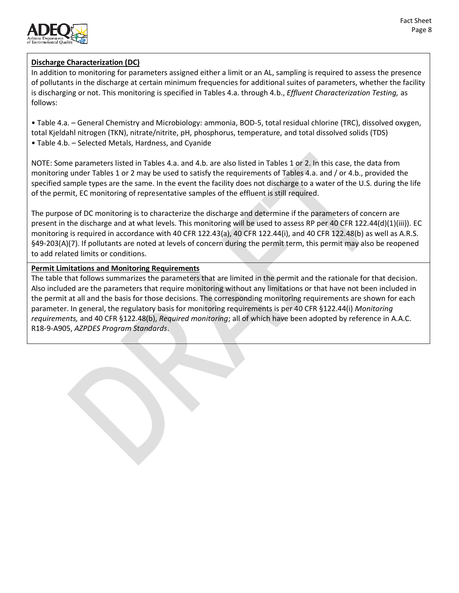

# **Discharge Characterization (DC)**

In addition to monitoring for parameters assigned either a limit or an AL, sampling is required to assess the presence of pollutants in the discharge at certain minimum frequencies for additional suites of parameters, whether the facility is discharging or not. This monitoring is specified in Tables 4.a. through 4.b., *Effluent Characterization Testing,* as follows:

• Table 4.a. – General Chemistry and Microbiology: ammonia, BOD-5, total residual chlorine (TRC), dissolved oxygen, total Kjeldahl nitrogen (TKN), nitrate/nitrite, pH, phosphorus, temperature, and total dissolved solids (TDS) • Table 4.b. – Selected Metals, Hardness, and Cyanide

NOTE: Some parameters listed in Tables 4.a. and 4.b. are also listed in Tables 1 or 2. In this case, the data from monitoring under Tables 1 or 2 may be used to satisfy the requirements of Tables 4.a. and / or 4.b., provided the specified sample types are the same. In the event the facility does not discharge to a water of the U.S. during the life of the permit, EC monitoring of representative samples of the effluent is still required.

The purpose of DC monitoring is to characterize the discharge and determine if the parameters of concern are present in the discharge and at what levels. This monitoring will be used to assess RP per 40 CFR 122.44(d)(1)(iii)). EC monitoring is required in accordance with 40 CFR 122.43(a), 40 CFR 122.44(i), and 40 CFR 122.48(b) as well as A.R.S. §49-203(A)(7). If pollutants are noted at levels of concern during the permit term, this permit may also be reopened to add related limits or conditions.

# **Permit Limitations and Monitoring Requirements**

The table that follows summarizes the parameters that are limited in the permit and the rationale for that decision. Also included are the parameters that require monitoring without any limitations or that have not been included in the permit at all and the basis for those decisions. The corresponding monitoring requirements are shown for each parameter. In general, the regulatory basis for monitoring requirements is per 40 CFR §122.44(i) *Monitoring requirements,* and 40 CFR §122.48(b), *Required monitoring*; all of which have been adopted by reference in A.A.C. R18-9-A905, *AZPDES Program Standards*.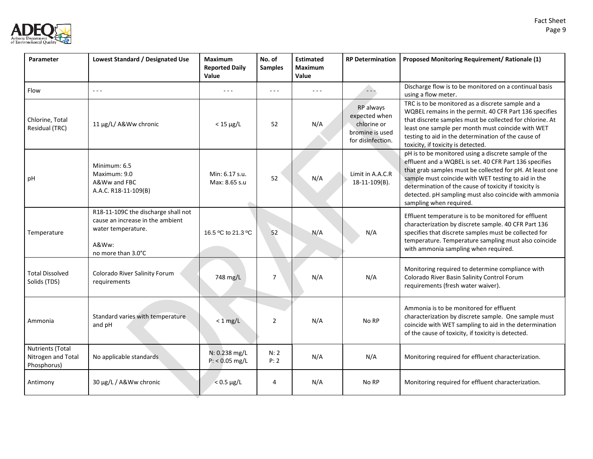

| Parameter                                             | Lowest Standard / Designated Use                                                                                             | <b>Maximum</b><br><b>Reported Daily</b><br>Value                                                                                                                                                                                                                                                                                                                                             | No. of<br><b>Samples</b> | <b>Estimated</b><br><b>Maximum</b><br>Value | <b>RP Determination</b>                                                           | Proposed Monitoring Requirement/ Rationale (1)                                                                                                                                                                                                                                                                                                                                 |
|-------------------------------------------------------|------------------------------------------------------------------------------------------------------------------------------|----------------------------------------------------------------------------------------------------------------------------------------------------------------------------------------------------------------------------------------------------------------------------------------------------------------------------------------------------------------------------------------------|--------------------------|---------------------------------------------|-----------------------------------------------------------------------------------|--------------------------------------------------------------------------------------------------------------------------------------------------------------------------------------------------------------------------------------------------------------------------------------------------------------------------------------------------------------------------------|
| Flow                                                  | $\sim$ $\sim$ $\sim$                                                                                                         | $\frac{1}{2} \frac{1}{2} \frac{1}{2} \frac{1}{2} \frac{1}{2} \frac{1}{2} \frac{1}{2} \frac{1}{2} \frac{1}{2} \frac{1}{2} \frac{1}{2} \frac{1}{2} \frac{1}{2} \frac{1}{2} \frac{1}{2} \frac{1}{2} \frac{1}{2} \frac{1}{2} \frac{1}{2} \frac{1}{2} \frac{1}{2} \frac{1}{2} \frac{1}{2} \frac{1}{2} \frac{1}{2} \frac{1}{2} \frac{1}{2} \frac{1}{2} \frac{1}{2} \frac{1}{2} \frac{1}{2} \frac{$ | $- - -$                  | $\sim$ $\sim$ $\sim$                        | $\overline{a}$                                                                    | Discharge flow is to be monitored on a continual basis<br>using a flow meter.                                                                                                                                                                                                                                                                                                  |
| Chlorine, Total<br>Residual (TRC)                     | 11 μg/L/ A&Ww chronic                                                                                                        | $<$ 15 $\mu$ g/L                                                                                                                                                                                                                                                                                                                                                                             | 52                       | N/A                                         | RP always<br>expected when<br>chlorine or<br>bromine is used<br>for disinfection. | TRC is to be monitored as a discrete sample and a<br>WQBEL remains in the permit. 40 CFR Part 136 specifies<br>that discrete samples must be collected for chlorine. At<br>least one sample per month must coincide with WET<br>testing to aid in the determination of the cause of<br>toxicity, if toxicity is detected.                                                      |
| рH                                                    | Minimum: 6.5<br>Maximum: 9.0<br>A&Ww and FBC<br>A.A.C. R18-11-109(B)                                                         | Min: 6.17 s.u.<br>Max: 8.65 s.u                                                                                                                                                                                                                                                                                                                                                              | 52                       | N/A                                         | Limit in A.A.C.R<br>18-11-109(B).                                                 | pH is to be monitored using a discrete sample of the<br>effluent and a WQBEL is set. 40 CFR Part 136 specifies<br>that grab samples must be collected for pH. At least one<br>sample must coincide with WET testing to aid in the<br>determination of the cause of toxicity if toxicity is<br>detected. pH sampling must also coincide with ammonia<br>sampling when required. |
| Temperature                                           | R18-11-109C the discharge shall not<br>cause an increase in the ambient<br>water temperature.<br>A&Ww:<br>no more than 3.0°C | 16.5 °C to 21.3 °C                                                                                                                                                                                                                                                                                                                                                                           | 52                       | N/A                                         | N/A                                                                               | Effluent temperature is to be monitored for effluent<br>characterization by discrete sample. 40 CFR Part 136<br>specifies that discrete samples must be collected for<br>temperature. Temperature sampling must also coincide<br>with ammonia sampling when required.                                                                                                          |
| <b>Total Dissolved</b><br>Solids (TDS)                | Colorado River Salinity Forum<br>requirements                                                                                | 748 mg/L                                                                                                                                                                                                                                                                                                                                                                                     | $\overline{7}$           | N/A                                         | N/A                                                                               | Monitoring required to determine compliance with<br>Colorado River Basin Salinity Control Forum<br>requirements (fresh water waiver).                                                                                                                                                                                                                                          |
| Ammonia                                               | Standard varies with temperature<br>and pH                                                                                   | $< 1$ mg/L                                                                                                                                                                                                                                                                                                                                                                                   | $\overline{2}$           | N/A                                         | No RP                                                                             | Ammonia is to be monitored for effluent<br>characterization by discrete sample. One sample must<br>coincide with WET sampling to aid in the determination<br>of the cause of toxicity, if toxicity is detected.                                                                                                                                                                |
| Nutrients (Total<br>Nitrogen and Total<br>Phosphorus) | No applicable standards                                                                                                      | N: 0.238 mg/L<br>$P: < 0.05$ mg/L                                                                                                                                                                                                                                                                                                                                                            | N:2<br>P: 2              | N/A                                         | N/A                                                                               | Monitoring required for effluent characterization.                                                                                                                                                                                                                                                                                                                             |
| Antimony                                              | 30 µg/L / A&Ww chronic                                                                                                       | $< 0.5 \mu g/L$                                                                                                                                                                                                                                                                                                                                                                              | $\overline{4}$           | N/A                                         | No RP                                                                             | Monitoring required for effluent characterization.                                                                                                                                                                                                                                                                                                                             |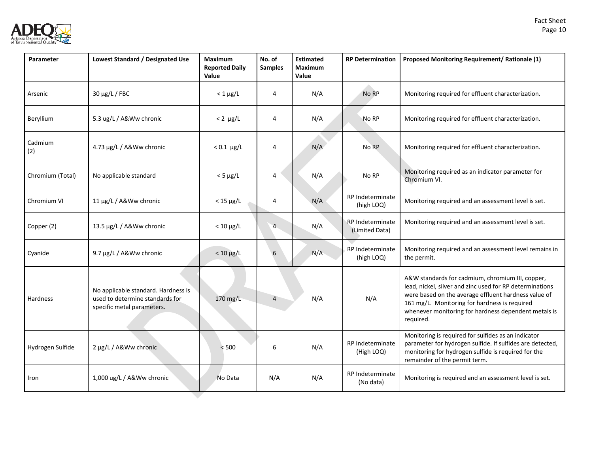

| Parameter        | Lowest Standard / Designated Use                                                                     | <b>Maximum</b><br><b>Reported Daily</b><br>Value | No. of<br><b>Samples</b> | <b>Estimated</b><br><b>Maximum</b><br>Value | <b>RP Determination</b>                   | Proposed Monitoring Requirement/ Rationale (1)                                                                                                                                                                                                                                             |
|------------------|------------------------------------------------------------------------------------------------------|--------------------------------------------------|--------------------------|---------------------------------------------|-------------------------------------------|--------------------------------------------------------------------------------------------------------------------------------------------------------------------------------------------------------------------------------------------------------------------------------------------|
| Arsenic          | 30 μg/L / FBC                                                                                        | $< 1 \mu g/L$                                    | 4                        | N/A                                         | No RP                                     | Monitoring required for effluent characterization.                                                                                                                                                                                                                                         |
| Beryllium        | 5.3 ug/L / A&Ww chronic                                                                              | $< 2 \mu g/L$                                    | 4                        | N/A                                         | No RP                                     | Monitoring required for effluent characterization.                                                                                                                                                                                                                                         |
| Cadmium<br>(2)   | 4.73 µg/L / A&Ww chronic                                                                             | $< 0.1 \mu g/L$                                  | 4                        | N/A                                         | No RP                                     | Monitoring required for effluent characterization.                                                                                                                                                                                                                                         |
| Chromium (Total) | No applicable standard                                                                               | $<$ 5 $\mu$ g/L                                  | $\overline{4}$           | N/A                                         | No RP                                     | Monitoring required as an indicator parameter for<br>Chromium VI.                                                                                                                                                                                                                          |
| Chromium VI      | 11 μg/L / A&Ww chronic                                                                               | $<$ 15 $\mu$ g/L                                 | 4                        | N/A                                         | RP Indeterminate<br>(high LOQ)            | Monitoring required and an assessment level is set.                                                                                                                                                                                                                                        |
| Copper (2)       | 13.5 µg/L / A&Ww chronic                                                                             | $< 10 \mu g/L$                                   | $\overline{4}$           | N/A                                         | <b>RP</b> Indeterminate<br>(Limited Data) | Monitoring required and an assessment level is set.                                                                                                                                                                                                                                        |
| Cyanide          | 9.7 µg/L / A&Ww chronic                                                                              | $< 10 \mu g/L$                                   | 6                        | N/A                                         | RP Indeterminate<br>(high LOQ)            | Monitoring required and an assessment level remains in<br>the permit.                                                                                                                                                                                                                      |
| <b>Hardness</b>  | No applicable standard. Hardness is<br>used to determine standards for<br>specific metal parameters. | 170 mg/L                                         | $\overline{4}$           | N/A                                         | N/A                                       | A&W standards for cadmium, chromium III, copper,<br>lead, nickel, silver and zinc used for RP determinations<br>were based on the average effluent hardness value of<br>161 mg/L. Monitoring for hardness is required<br>whenever monitoring for hardness dependent metals is<br>required. |
| Hydrogen Sulfide | 2 µg/L / A&Ww chronic                                                                                | < 500                                            | 6                        | N/A                                         | <b>RP</b> Indeterminate<br>(High LOQ)     | Monitoring is required for sulfides as an indicator<br>parameter for hydrogen sulfide. If sulfides are detected,<br>monitoring for hydrogen sulfide is required for the<br>remainder of the permit term.                                                                                   |
| Iron             | 1,000 ug/L / A&Ww chronic                                                                            | No Data                                          | N/A                      | N/A                                         | RP Indeterminate<br>(No data)             | Monitoring is required and an assessment level is set.                                                                                                                                                                                                                                     |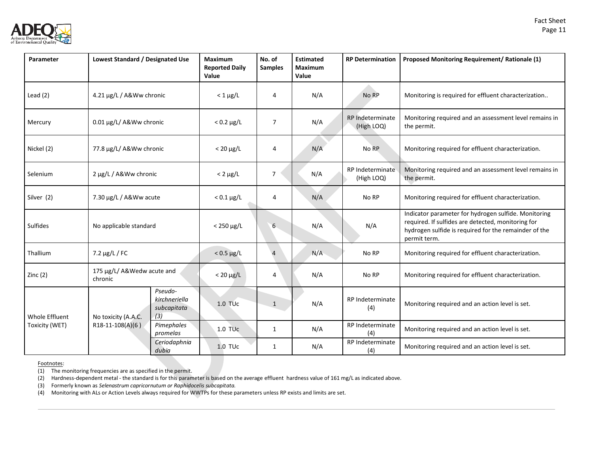

| Parameter       | Lowest Standard / Designated Use      |                                         | <b>Maximum</b><br><b>Reported Daily</b><br>Value | No. of<br><b>Samples</b> | <b>Estimated</b><br><b>Maximum</b><br>Value | <b>RP Determination</b>        | Proposed Monitoring Requirement/ Rationale (1)                                                                                                                                      |
|-----------------|---------------------------------------|-----------------------------------------|--------------------------------------------------|--------------------------|---------------------------------------------|--------------------------------|-------------------------------------------------------------------------------------------------------------------------------------------------------------------------------------|
| Lead $(2)$      | 4.21 µg/L / A&Ww chronic              |                                         | $< 1 \mu g/L$                                    | 4                        | N/A                                         | No RP                          | Monitoring is required for effluent characterization                                                                                                                                |
| Mercury         | 0.01 µg/L/ A&Ww chronic               |                                         | $< 0.2 \mu g/L$                                  | $\overline{7}$           | N/A                                         | RP Indeterminate<br>(High LOQ) | Monitoring required and an assessment level remains in<br>the permit.                                                                                                               |
| Nickel (2)      | 77.8 μg/L/ A&Ww chronic               |                                         | $< 20 \mu g/L$                                   | 4                        | N/A                                         | No RP                          | Monitoring required for effluent characterization.                                                                                                                                  |
| Selenium        | 2 µg/L / A&Ww chronic                 |                                         | $< 2 \mu g/L$                                    | $\overline{7}$           | N/A                                         | RP Indeterminate<br>(High LOQ) | Monitoring required and an assessment level remains in<br>the permit.                                                                                                               |
| Silver (2)      | 7.30 µg/L / A&Ww acute                |                                         | $< 0.1 \mu g/L$                                  | 4                        | N/A                                         | No RP                          | Monitoring required for effluent characterization.                                                                                                                                  |
| <b>Sulfides</b> | No applicable standard                |                                         | $< 250 \mu g/L$                                  | 6                        | N/A                                         | N/A                            | Indicator parameter for hydrogen sulfide. Monitoring<br>required. If sulfides are detected, monitoring for<br>hydrogen sulfide is required for the remainder of the<br>permit term. |
| Thallium        | $7.2 \mu g/L / FC$                    |                                         | $< 0.5 \mu g/L$                                  | $\overline{4}$           | N/A                                         | No RP                          | Monitoring required for effluent characterization.                                                                                                                                  |
| Zinc(2)         | 175 µg/L/ A&Wedw acute and<br>chronic |                                         | $< 20 \mu g/L$                                   | 4                        | N/A                                         | No RP                          | Monitoring required for effluent characterization.                                                                                                                                  |
| Whole Effluent  | (3)<br>No toxicity (A.A.C.            | Pseudo-<br>kirchneriella<br>subcapitata | 1.0 TU <sub>c</sub>                              | $\mathbf{1}$             | N/A                                         | RP Indeterminate<br>(4)        | Monitoring required and an action level is set.                                                                                                                                     |
| Toxicity (WET)  | $R18-11-108(A)(6)$                    | Pimephales<br>promelas                  | $1.0$ TU $c$                                     | 1                        | N/A                                         | RP Indeterminate<br>(4)        | Monitoring required and an action level is set.                                                                                                                                     |
|                 |                                       | Ceriodaphnia<br>dubia                   | 1.0 TUc                                          | 1                        | N/A                                         | RP Indeterminate<br>(4)        | Monitoring required and an action level is set.                                                                                                                                     |

Footnotes:

(1) The monitoring frequencies are as specified in the permit.

(2) Hardness-dependent metal - the standard is for this parameter is based on the average effluent hardness value of 161 mg/L as indicated above.

(3) Formerly known as *Selenastrum capricornutum or Raphidocelis subcapitata.*

(4) Monitoring with ALs or Action Levels always required for WWTPs for these parameters unless RP exists and limits are set.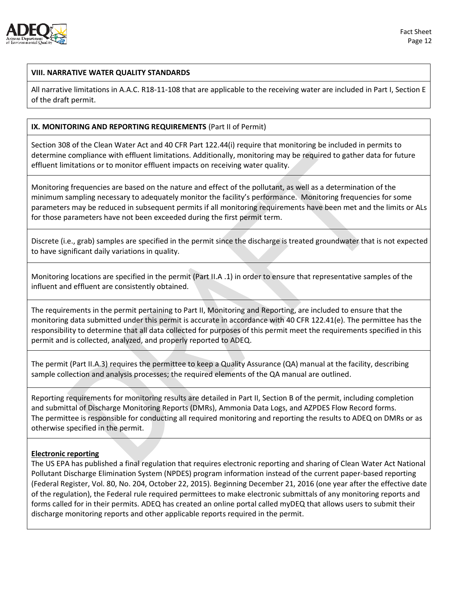

### **VIII. NARRATIVE WATER QUALITY STANDARDS**

All narrative limitations in A.A.C. R18-11-108 that are applicable to the receiving water are included in Part I, Section E of the draft permit.

### **IX. MONITORING AND REPORTING REQUIREMENTS** (Part II of Permit)

Section 308 of the Clean Water Act and 40 CFR Part 122.44(i) require that monitoring be included in permits to determine compliance with effluent limitations. Additionally, monitoring may be required to gather data for future effluent limitations or to monitor effluent impacts on receiving water quality.

Monitoring frequencies are based on the nature and effect of the pollutant, as well as a determination of the minimum sampling necessary to adequately monitor the facility's performance. Monitoring frequencies for some parameters may be reduced in subsequent permits if all monitoring requirements have been met and the limits or ALs for those parameters have not been exceeded during the first permit term.

Discrete (i.e., grab) samples are specified in the permit since the discharge is treated groundwater that is not expected to have significant daily variations in quality.

Monitoring locations are specified in the permit (Part II.A .1) in order to ensure that representative samples of the influent and effluent are consistently obtained.

The requirements in the permit pertaining to Part II, Monitoring and Reporting, are included to ensure that the monitoring data submitted under this permit is accurate in accordance with 40 CFR 122.41(e). The permittee has the responsibility to determine that all data collected for purposes of this permit meet the requirements specified in this permit and is collected, analyzed, and properly reported to ADEQ.

The permit (Part II.A.3) requires the permittee to keep a Quality Assurance (QA) manual at the facility, describing sample collection and analysis processes; the required elements of the QA manual are outlined.

Reporting requirements for monitoring results are detailed in Part II, Section B of the permit, including completion and submittal of Discharge Monitoring Reports (DMRs), Ammonia Data Logs, and AZPDES Flow Record forms. The permittee is responsible for conducting all required monitoring and reporting the results to ADEQ on DMRs or as otherwise specified in the permit.

#### **Electronic reporting**

The US EPA has published a final regulation that requires electronic reporting and sharing of Clean Water Act National Pollutant Discharge Elimination System (NPDES) program information instead of the current paper-based reporting (Federal Register, Vol. 80, No. 204, October 22, 2015). Beginning December 21, 2016 (one year after the effective date of the regulation), the Federal rule required permittees to make electronic submittals of any monitoring reports and forms called for in their permits. ADEQ has created an online portal called myDEQ that allows users to submit their discharge monitoring reports and other applicable reports required in the permit.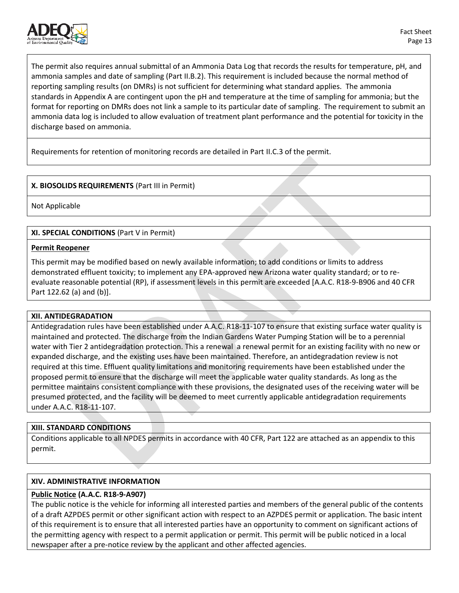

The permit also requires annual submittal of an Ammonia Data Log that records the results for temperature, pH, and ammonia samples and date of sampling (Part II.B.2). This requirement is included because the normal method of reporting sampling results (on DMRs) is not sufficient for determining what standard applies. The ammonia standards in Appendix A are contingent upon the pH and temperature at the time of sampling for ammonia; but the format for reporting on DMRs does not link a sample to its particular date of sampling. The requirement to submit an ammonia data log is included to allow evaluation of treatment plant performance and the potential for toxicity in the discharge based on ammonia.

Requirements for retention of monitoring records are detailed in Part II.C.3 of the permit.

# **X. BIOSOLIDS REQUIREMENTS** (Part III in Permit)

Not Applicable

**XI. SPECIAL CONDITIONS** (Part V in Permit)

#### **Permit Reopener**

This permit may be modified based on newly available information; to add conditions or limits to address demonstrated effluent toxicity; to implement any EPA-approved new Arizona water quality standard; or to reevaluate reasonable potential (RP), if assessment levels in this permit are exceeded [A.A.C. R18-9-B906 and 40 CFR Part 122.62 (a) and (b)].

# **XII. ANTIDEGRADATION**

Antidegradation rules have been established under A.A.C. R18-11-107 to ensure that existing surface water quality is maintained and protected. The discharge from the Indian Gardens Water Pumping Station will be to a perennial water with Tier 2 antidegradation protection. This a renewal a renewal permit for an existing facility with no new or expanded discharge, and the existing uses have been maintained. Therefore, an antidegradation review is not required at this time. Effluent quality limitations and monitoring requirements have been established under the proposed permit to ensure that the discharge will meet the applicable water quality standards. As long as the permittee maintains consistent compliance with these provisions, the designated uses of the receiving water will be presumed protected, and the facility will be deemed to meet currently applicable antidegradation requirements under A.A.C. R18-11-107.

# **XIII. STANDARD CONDITIONS**

Conditions applicable to all NPDES permits in accordance with 40 CFR, Part 122 are attached as an appendix to this permit.

# **XIV. ADMINISTRATIVE INFORMATION**

# **Public Notice (A.A.C. R18-9-A907)**

The public notice is the vehicle for informing all interested parties and members of the general public of the contents of a draft AZPDES permit or other significant action with respect to an AZPDES permit or application. The basic intent of this requirement is to ensure that all interested parties have an opportunity to comment on significant actions of the permitting agency with respect to a permit application or permit. This permit will be public noticed in a local newspaper after a pre-notice review by the applicant and other affected agencies.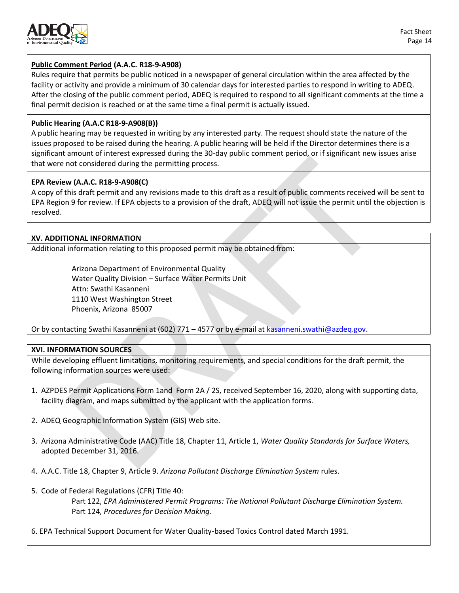

# **Public Comment Period (A.A.C. R18-9-A908)**

Rules require that permits be public noticed in a newspaper of general circulation within the area affected by the facility or activity and provide a minimum of 30 calendar days for interested parties to respond in writing to ADEQ. After the closing of the public comment period, ADEQ is required to respond to all significant comments at the time a final permit decision is reached or at the same time a final permit is actually issued.

# **Public Hearing (A.A.C R18-9-A908(B))**

A public hearing may be requested in writing by any interested party. The request should state the nature of the issues proposed to be raised during the hearing. A public hearing will be held if the Director determines there is a significant amount of interest expressed during the 30-day public comment period, or if significant new issues arise that were not considered during the permitting process.

# **EPA Review (A.A.C. R18-9-A908(C)**

A copy of this draft permit and any revisions made to this draft as a result of public comments received will be sent to EPA Region 9 for review. If EPA objects to a provision of the draft, ADEQ will not issue the permit until the objection is resolved.

# **XV. ADDITIONAL INFORMATION**

Additional information relating to this proposed permit may be obtained from:

Arizona Department of Environmental Quality Water Quality Division – Surface Water Permits Unit Attn: Swathi Kasanneni 1110 West Washington Street Phoenix, Arizona 85007

Or by contacting Swathi Kasanneni at (602) 771 – 4577 or by e-mail a[t kasanneni.swathi@azdeq.gov.](mailto:kasanneni.swathi@azdeq.gov)

# **XVI. INFORMATION SOURCES**

While developing effluent limitations, monitoring requirements, and special conditions for the draft permit, the following information sources were used:

- 1. AZPDES Permit Applications Form 1and Form 2A / 2S, received September 16, 2020, along with supporting data, facility diagram, and maps submitted by the applicant with the application forms.
- 2. ADEQ Geographic Information System (GIS) Web site.
- 3. Arizona Administrative Code (AAC) Title 18, Chapter 11, Article 1, *Water Quality Standards for Surface Waters,* adopted December 31, 2016.
- 4. A.A.C. Title 18, Chapter 9, Article 9. *Arizona Pollutant Discharge Elimination System* rules.
- 5. Code of Federal Regulations (CFR) Title 40: Part 122, *EPA Administered Permit Programs: The National Pollutant Discharge Elimination System.* Part 124, *Procedures for Decision Making*.
- 6. EPA Technical Support Document for Water Quality-based Toxics Control dated March 1991.